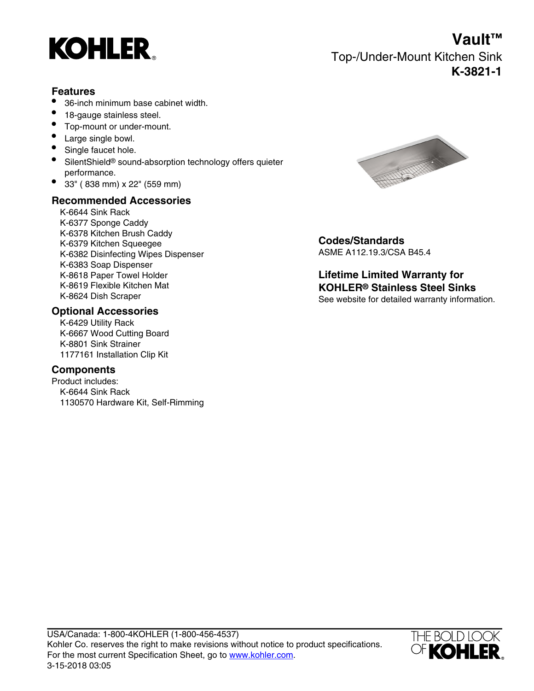

**Vault™** Top-/Under-Mount Kitchen Sink **K-3821-1**

### **Features**

- 36-inch minimum base cabinet width.
- 18-gauge stainless steel.
- Top-mount or under-mount.
- Large single bowl.
- Single faucet hole.
- SilentShield® sound-absorption technology offers quieter performance.
- 33" ( 838 mm) x 22" (559 mm)

### **Recommended Accessories**

K-6644 Sink Rack K-6377 Sponge Caddy K-6378 Kitchen Brush Caddy K-6379 Kitchen Squeegee<br>
K-6379 Kitchen Squeegee<br>
K-6382 Disinfecting Wines Dispenser<br> **Codes/Standards**<br>
ASME A112.19.3/CSA B45.4 K-6382 Disinfecting Wipes Dispenser K-6383 Soap Dispenser K-8618 Paper Towel Holder K-8619 Flexible Kitchen Mat

#### **Optional Accessories**

K-6429 Utility Rack K-6667 Wood Cutting Board K-8801 Sink Strainer 1177161 Installation Clip Kit

## **Components**

Product includes: K-6644 Sink Rack 1130570 Hardware Kit, Self-Rimming



**Lifetime Limited Warranty for KOHLER® Stainless Steel Sinks** K-8624 Dish Scraper See website for detailed warranty information.